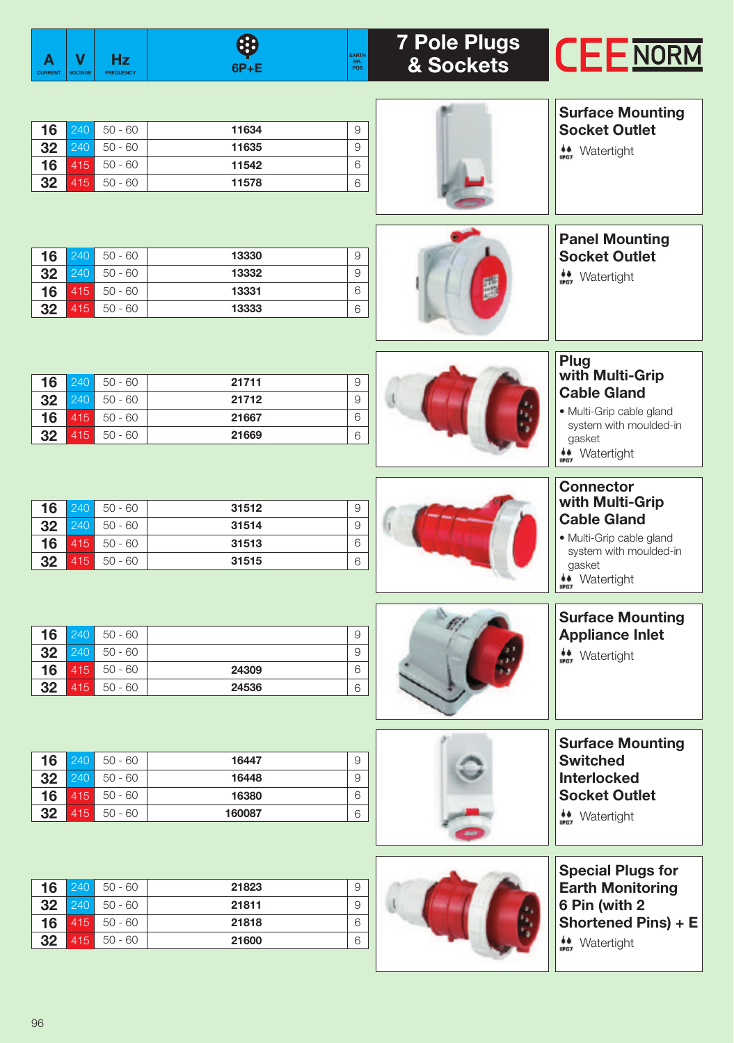| A<br><b>CURRENT</b>  | V<br><b>VOLTAGE</b>      | <b>Hz</b><br><b>FREQUENCY</b>                    | 63<br><b>EARTH</b><br>HR.<br>POS<br>$6P + E$                                  | <b>7 Pole Plugs</b><br>& Sockets | <b>CEENORM</b>                                                                                                                                                          |
|----------------------|--------------------------|--------------------------------------------------|-------------------------------------------------------------------------------|----------------------------------|-------------------------------------------------------------------------------------------------------------------------------------------------------------------------|
| 16                   | 240                      | $50 - 60$                                        | 11634<br>9                                                                    |                                  | <b>Surface Mounting</b><br><b>Socket Outlet</b>                                                                                                                         |
| 32<br>16<br>32       | 240<br>415<br>415        | $50 - 60$<br>$50 - 60$<br>$50 - 60$              | 11635<br>9<br>6<br>11542<br>11578<br>6                                        |                                  | $\underset{\text{max}}{\downarrow}$ Watertight                                                                                                                          |
| 16                   | 240                      | $50 - 60$                                        | 13330<br>9                                                                    |                                  | <b>Panel Mounting</b><br><b>Socket Outlet</b>                                                                                                                           |
| 32<br>16<br>32       | 240<br>415<br>415        | $50 - 60$<br>$50 - 60$<br>$50 - 60$              | 13332<br>9<br>6<br>13331<br>13333<br>$\,6\,$                                  |                                  | $\underset{\mathbf{m}{\bullet}}{\bullet}$ Watertight                                                                                                                    |
| 16<br>32<br>16<br>32 | 240<br>240<br>415<br>415 | $50 - 60$<br>$50 - 60$<br>$50 - 60$<br>$50 - 60$ | 21711<br>$\overline{9}$<br>$\mathcal{G}$<br>21712<br>21667<br>6<br>21669<br>6 |                                  | <b>Plug</b><br>with Multi-Grip<br><b>Cable Gland</b><br>· Multi-Grip cable gland<br>system with moulded-in<br>gasket                                                    |
| 16<br>32<br>16<br>32 | 240<br>240<br>415<br>415 | $50 - 60$<br>$50 - 60$<br>$50 - 60$<br>$50 - 60$ | 31512<br>9<br>$\mathcal{G}$<br>31514<br>6<br>31513<br>31515<br>6              |                                  | <b>**</b> Watertight<br>क्रम<br><b>Connector</b><br>with Multi-Grip<br><b>Cable Gland</b><br>· Multi-Grip cable gland<br>system with moulded-in<br>gasket<br>Watertight |
| 16<br>32<br>16<br>32 | 240<br>240<br>415<br>415 | $50 - 60$<br>$50 - 60$<br>$50 - 60$<br>$50 - 60$ | 9<br>9<br>6<br>24309<br>24536<br>$\,$ 6 $\,$                                  |                                  | 赫<br><b>Surface Mounting</b><br><b>Appliance Inlet</b><br>$\underset{\mathbf{m}{\bullet}}{\bullet}$ Watertight                                                          |
| 16<br>32<br>16<br>32 | 240<br>240<br>415<br>415 | $50 - 60$<br>$50 - 60$<br>$50 - 60$<br>$50 - 60$ | 16447<br>9<br>$\Theta$<br>16448<br>6<br>16380<br>160087<br>$\,$ 6 $\,$        |                                  | <b>Surface Mounting</b><br><b>Switched</b><br><b>Interlocked</b><br><b>Socket Outlet</b><br>$\underset{\text{max}}{\ast}$ Watertight                                    |
| 16<br>32<br>16<br>32 | 240<br>240<br>415<br>415 | $50 - 60$<br>$50 - 60$<br>$50 - 60$<br>$50 - 60$ | 21823<br>$\overline{9}$<br>21811<br>$\hbox{9}$<br>6<br>21818<br>21600<br>6    |                                  | <b>Special Plugs for</b><br><b>Earth Monitoring</b><br>6 Pin (with 2<br>Shortened Pins) + E<br>$\underset{\text{max}}{\overset{\text{4.4}}{\text{4}}}$ Watertight       |